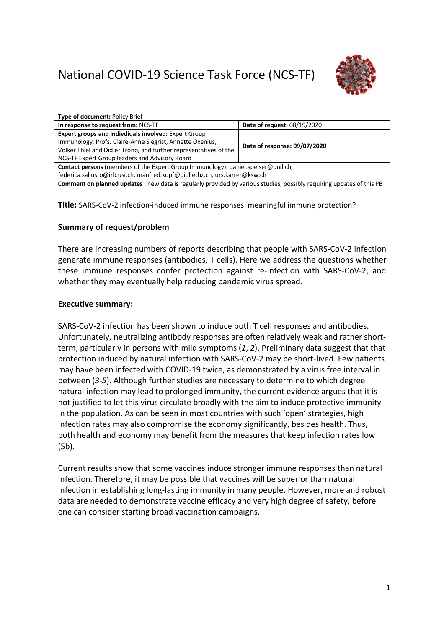# National COVID-19 Science Task Force (NCS-TF)



| Type of document: Policy Brief                                                                                              |                              |
|-----------------------------------------------------------------------------------------------------------------------------|------------------------------|
| In response to request from: NCS-TF                                                                                         | Date of request: 08/19/2020  |
| Expert groups and indivdiuals involved: Expert Group                                                                        |                              |
| Immunology, Profs. Claire-Anne Siegrist, Annette Oxenius,                                                                   | Date of response: 09/07/2020 |
| Volker Thiel and Didier Trono, and further representatives of the                                                           |                              |
| NCS-TF Expert Group leaders and Advisory Board                                                                              |                              |
| Contact persons (members of the Expert Group Immunology): daniel.speiser@unil.ch,                                           |                              |
| federica.sallusto@irb.usi.ch, manfred.kopf@biol.ethz.ch, urs.karrer@ksw.ch                                                  |                              |
| <b>Comment on planned updates:</b> new data is regularly provided by various studies, possibly requiring updates of this PB |                              |
|                                                                                                                             |                              |

**Title:** SARS-CoV-2 infection-induced immune responses: meaningful immune protection?

## **Summary of request/problem**

There are increasing numbers of reports describing that people with SARS-CoV-2 infection generate immune responses (antibodies, T cells). Here we address the questions whether these immune responses confer protection against re-infection with SARS-CoV-2, and whether they may eventually help reducing pandemic virus spread.

### **Executive summary:**

SARS-CoV-2 infection has been shown to induce both T cell responses and antibodies. Unfortunately, neutralizing antibody responses are often relatively weak and rather shortterm, particularly in persons with mild symptoms (*1*, *2*). Preliminary data suggest that that protection induced by natural infection with SARS-CoV-2 may be short-lived. Few patients may have been infected with COVID-19 twice, as demonstrated by a virus free interval in between (*3*-*5*). Although further studies are necessary to determine to which degree natural infection may lead to prolonged immunity, the current evidence argues that it is not justified to let this virus circulate broadly with the aim to induce protective immunity in the population. As can be seen in most countries with such 'open' strategies, high infection rates may also compromise the economy significantly, besides health. Thus, both health and economy may benefit from the measures that keep infection rates low (5b).

Current results show that some vaccines induce stronger immune responses than natural infection. Therefore, it may be possible that vaccines will be superior than natural infection in establishing long-lasting immunity in many people. However, more and robust data are needed to demonstrate vaccine efficacy and very high degree of safety, before one can consider starting broad vaccination campaigns.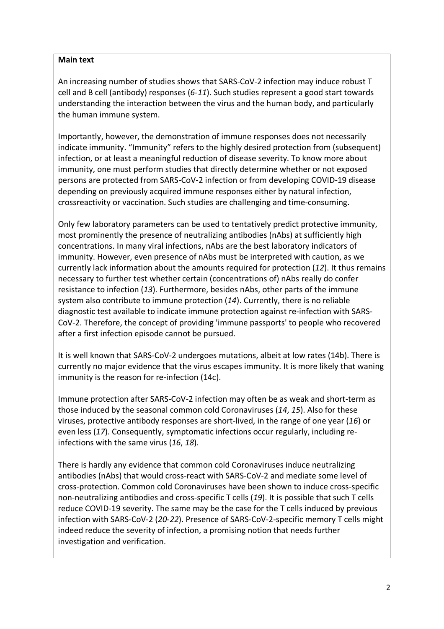### **Main text**

An increasing number of studies shows that SARS-CoV-2 infection may induce robust T cell and B cell (antibody) responses (*6*-*11*). Such studies represent a good start towards understanding the interaction between the virus and the human body, and particularly the human immune system.

Importantly, however, the demonstration of immune responses does not necessarily indicate immunity. "Immunity" refers to the highly desired protection from (subsequent) infection, or at least a meaningful reduction of disease severity. To know more about immunity, one must perform studies that directly determine whether or not exposed persons are protected from SARS-CoV-2 infection or from developing COVID-19 disease depending on previously acquired immune responses either by natural infection, crossreactivity or vaccination. Such studies are challenging and time-consuming.

Only few laboratory parameters can be used to tentatively predict protective immunity, most prominently the presence of neutralizing antibodies (nAbs) at sufficiently high concentrations. In many viral infections, nAbs are the best laboratory indicators of immunity. However, even presence of nAbs must be interpreted with caution, as we currently lack information about the amounts required for protection (*12*). It thus remains necessary to further test whether certain (concentrations of) nAbs really do confer resistance to infection (*13*). Furthermore, besides nAbs, other parts of the immune system also contribute to immune protection (*14*). Currently, there is no reliable diagnostic test available to indicate immune protection against re-infection with SARS-CoV-2. Therefore, the concept of providing 'immune passports' to people who recovered after a first infection episode cannot be pursued.

It is well known that SARS-CoV-2 undergoes mutations, albeit at low rates (14b). There is currently no major evidence that the virus escapes immunity. It is more likely that waning immunity is the reason for re-infection (14c).

Immune protection after SARS-CoV-2 infection may often be as weak and short-term as those induced by the seasonal common cold Coronaviruses (*14*, *15*). Also for these viruses, protective antibody responses are short-lived, in the range of one year (*16*) or even less (*17*). Consequently, symptomatic infections occur regularly, including reinfections with the same virus (*16*, *18*).

There is hardly any evidence that common cold Coronaviruses induce neutralizing antibodies (nAbs) that would cross-react with SARS-CoV-2 and mediate some level of cross-protection. Common cold Coronaviruses have been shown to induce cross-specific non-neutralizing antibodies and cross-specific T cells (*19*). It is possible that such T cells reduce COVID-19 severity. The same may be the case for the T cells induced by previous infection with SARS-CoV-2 (*20*-*22*). Presence of SARS-CoV-2-specific memory T cells might indeed reduce the severity of infection, a promising notion that needs further investigation and verification.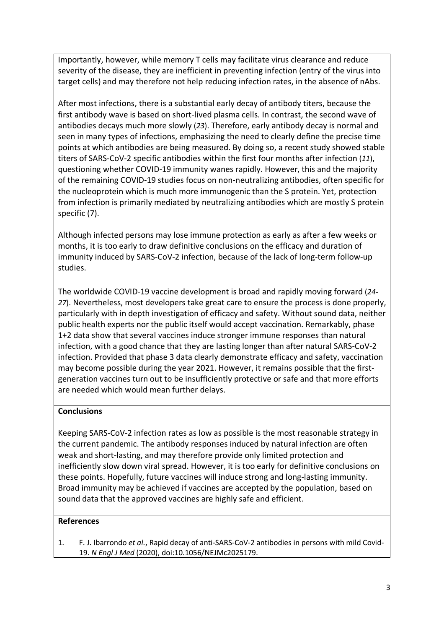Importantly, however, while memory T cells may facilitate virus clearance and reduce severity of the disease, they are inefficient in preventing infection (entry of the virus into target cells) and may therefore not help reducing infection rates, in the absence of nAbs.

After most infections, there is a substantial early decay of antibody titers, because the first antibody wave is based on short-lived plasma cells. In contrast, the second wave of antibodies decays much more slowly (*23*). Therefore, early antibody decay is normal and seen in many types of infections, emphasizing the need to clearly define the precise time points at which antibodies are being measured. By doing so, a recent study showed stable titers of SARS-CoV-2 specific antibodies within the first four months after infection (*11*), questioning whether COVID-19 immunity wanes rapidly. However, this and the majority of the remaining COVID-19 studies focus on non-neutralizing antibodies, often specific for the nucleoprotein which is much more immunogenic than the S protein. Yet, protection from infection is primarily mediated by neutralizing antibodies which are mostly S protein specific (7).

Although infected persons may lose immune protection as early as after a few weeks or months, it is too early to draw definitive conclusions on the efficacy and duration of immunity induced by SARS-CoV-2 infection, because of the lack of long-term follow-up studies.

The worldwide COVID-19 vaccine development is broad and rapidly moving forward (*24*- *27*). Nevertheless, most developers take great care to ensure the process is done properly, particularly with in depth investigation of efficacy and safety. Without sound data, neither public health experts nor the public itself would accept vaccination. Remarkably, phase 1+2 data show that several vaccines induce stronger immune responses than natural infection, with a good chance that they are lasting longer than after natural SARS-CoV-2 infection. Provided that phase 3 data clearly demonstrate efficacy and safety, vaccination may become possible during the year 2021. However, it remains possible that the firstgeneration vaccines turn out to be insufficiently protective or safe and that more efforts are needed which would mean further delays.

## **Conclusions**

Keeping SARS-CoV-2 infection rates as low as possible is the most reasonable strategy in the current pandemic. The antibody responses induced by natural infection are often weak and short-lasting, and may therefore provide only limited protection and inefficiently slow down viral spread. However, it is too early for definitive conclusions on these points. Hopefully, future vaccines will induce strong and long-lasting immunity. Broad immunity may be achieved if vaccines are accepted by the population, based on sound data that the approved vaccines are highly safe and efficient.

#### **References**

1. F. J. Ibarrondo *et al.*, Rapid decay of anti-SARS-CoV-2 antibodies in persons with mild Covid-19. *N Engl J Med* (2020), doi:10.1056/NEJMc2025179.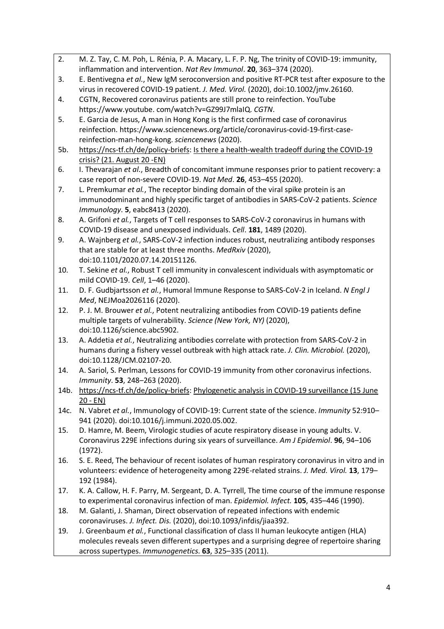- 2. M. Z. Tay, C. M. Poh, L. Rénia, P. A. Macary, L. F. P. Ng, The trinity of COVID-19: immunity, inflammation and intervention. *Nat Rev Immunol*. **20**, 363–374 (2020).
- 3. E. Bentivegna *et al.*, New IgM seroconversion and positive RT-PCR test after exposure to the virus in recovered COVID-19 patient. *J. Med. Virol.* (2020), doi:10.1002/jmv.26160.
- 4. CGTN, Recovered coronavirus patients are still prone to reinfection. YouTube https://www.youtube. com/watch?v=GZ99J7mlaIQ. *CGTN*.
- 5. E. Garcia de Jesus, A man in Hong Kong is the first confirmed case of coronavirus reinfection. https://www.sciencenews.org/article/coronavirus-covid-19-first-casereinfection-man-hong-kong. *sciencenews* (2020).
- 5b. https://ncs-tf.ch/de/policy-briefs: Is there a health-wealth tradeoff during the COVID-19 crisis? (21. August 20 -EN)
- 6. I. Thevarajan *et al.*, Breadth of concomitant immune responses prior to patient recovery: a case report of non-severe COVID-19. *Nat Med*. **26**, 453–455 (2020).
- 7. L. Premkumar *et al.*, The receptor binding domain of the viral spike protein is an immunodominant and highly specific target of antibodies in SARS-CoV-2 patients. *Science Immunology*. **5**, eabc8413 (2020).
- 8. A. Grifoni *et al.*, Targets of T cell responses to SARS-CoV-2 coronavirus in humans with COVID-19 disease and unexposed individuals. *Cell*. **181**, 1489 (2020).
- 9. A. Wajnberg *et al.*, SARS-CoV-2 infection induces robust, neutralizing antibody responses that are stable for at least three months. *MedRxiv* (2020), doi:10.1101/2020.07.14.20151126.
- 10. T. Sekine *et al.*, Robust T cell immunity in convalescent individuals with asymptomatic or mild COVID-19. *Cell*, 1–46 (2020).
- 11. D. F. Gudbjartsson *et al.*, Humoral Immune Response to SARS-CoV-2 in Iceland. *N Engl J Med*, NEJMoa2026116 (2020).
- 12. P. J. M. Brouwer *et al.*, Potent neutralizing antibodies from COVID-19 patients define multiple targets of vulnerability. *Science (New York, NY)* (2020), doi:10.1126/science.abc5902.
- 13. A. Addetia *et al.*, Neutralizing antibodies correlate with protection from SARS-CoV-2 in humans during a fishery vessel outbreak with high attack rate. *J. Clin. Microbiol.* (2020), doi:10.1128/JCM.02107-20.
- 14. A. Sariol, S. Perlman, Lessons for COVID-19 immunity from other coronavirus infections. *Immunity*. **53**, 248–263 (2020).
- 14b. https://ncs-tf.ch/de/policy-briefs: Phylogenetic analysis in COVID-19 surveillance (15 June 20 - EN)
- 14c. N. Vabret *et al.*, Immunology of COVID-19: Current state of the science. *Immunity* 52:910– 941 (2020). doi:10.1016/j.immuni.2020.05.002.
- 15. D. Hamre, M. Beem, Virologic studies of acute respiratory disease in young adults. V. Coronavirus 229E infections during six years of surveillance. *Am J Epidemiol*. **96**, 94–106 (1972).
- 16. S. E. Reed, The behaviour of recent isolates of human respiratory coronavirus in vitro and in volunteers: evidence of heterogeneity among 229E-related strains. *J. Med. Virol.* **13**, 179– 192 (1984).
- 17. K. A. Callow, H. F. Parry, M. Sergeant, D. A. Tyrrell, The time course of the immune response to experimental coronavirus infection of man. *Epidemiol. Infect.* **105**, 435–446 (1990).
- 18. M. Galanti, J. Shaman, Direct observation of repeated infections with endemic coronaviruses. *J. Infect. Dis.* (2020), doi:10.1093/infdis/jiaa392.
- 19. J. Greenbaum *et al.*, Functional classification of class II human leukocyte antigen (HLA) molecules reveals seven different supertypes and a surprising degree of repertoire sharing across supertypes. *Immunogenetics*. **63**, 325–335 (2011).